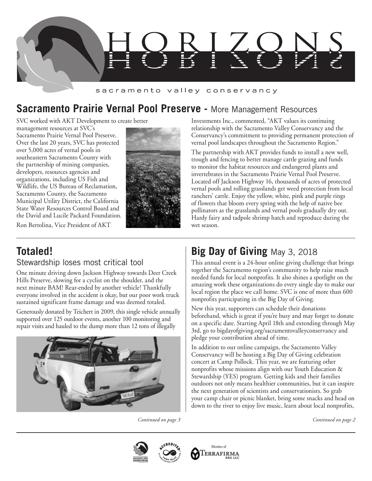

### sacramento valley conservancy

# **Sacramento Prairie Vernal Pool Preserve -** More Management Resources

SVC worked with AKT Development to create better

management resources at SVC's Sacramento Prairie Vernal Pool Preserve. Over the last 20 years, SVC has protected over 5,000 acres of vernal pools in southeastern Sacramento County with the partnership of mining companies, developers, resources agencies and organizations, including US Fish and Wildlife, the US Bureau of Reclamation, Sacramento County, the Sacramento Municipal Utility District, the California State Water Resources Control Board and the David and Lucile Packard Foundation.

Ron Bertolina, Vice President of AKT



Investments Inc., commented, "AKT values its continuing relationship with the Sacramento Valley Conservancy and the Conservancy's commitment to providing permanent protection of vernal pool landscapes throughout the Sacramento Region."

The partnership with AKT provides funds to install a new well, trough and fencing to better manage cattle grazing and funds to monitor the habitat resources and endangered plants and invertebrates in the Sacramento Prairie Vernal Pool Preserve. Located off Jackson Highway 16, thousands of acres of protected vernal pools and rolling grasslands get weed protection from local ranchers' cattle. Enjoy the yellow, white, pink and purple rings of flowers that bloom every spring with the help of native bee pollinators as the grasslands and vernal pools gradually dry out. Hardy fairy and tadpole shrimp hatch and reproduce during the wet season.

### **Totaled!**  Stewardship loses most critical tool

One minute driving down Jackson Highway towards Deer Creek Hills Preserve, slowing for a cyclist on the shoulder, and the next minute BAM! Rear-ended by another vehicle! Thankfully everyone involved in the accident is okay, but our poor work truck sustained significant frame damage and was deemed totaled.

Generously donated by Teichert in 2009, this single vehicle annually supported over 125 outdoor events, another 100 monitoring and repair visits and hauled to the dump more than 12 tons of illegally



# **Big Day of Giving** May 3, 2018

This annual event is a 24-hour online giving challenge that brings together the Sacramento region's community to help raise much needed funds for local nonprofits. It also shines a spotlight on the amazing work these organizations do every single day to make our local region the place we call home. SVC is one of more than 600 nonprofits participating in the Big Day of Giving.

New this year, supporters can schedule their donations beforehand, which is great if you're busy and may forget to donate on a specific date. Starting April 18th and extending through May 3rd, go to bigdayofgiving.org/sacramentovalleyconservancy and pledge your contribution ahead of time.

In addition to our online campaign, the Sacramento Valley Conservancy will be hosting a Big Day of Giving celebration concert at Camp Pollock. This year, we are featuring other nonprofits whose missions align with our Youth Education & Stewardship (YES) program. Getting kids and their families outdoors not only means healthier communities, but it can inspire the next generation of scientists and conservationists. So grab your camp chair or picnic blanket, bring some snacks and head on down to the river to enjoy live music, learn about local nonprofits,





*Continued on page 3 Continued on page 2*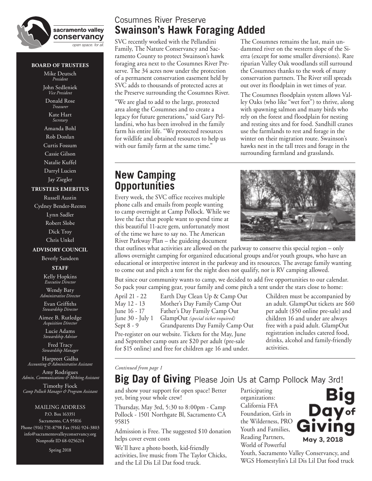

#### **BOARD OF TRUSTEES**

Mike Deutsch *President* John Sedleniek *Vice President*

Donald Rose *Treasurer* Kate Hart *Secretary* Amanda Bohl Rob Donlan Curtis Fossum Cassie Gilson Natalie Kuffel

Darryl Lucien Jay Ziegler

#### **TRUSTEES EMERITUS**

Russell Austin Cydney Bender-Reents Lynn Sadler Robert Slobe Dick Troy Chris Unkel

### **ADVISORY COUNCIL**

Beverly Sandeen

#### **STAFF**

Kelly Hopkins *Executive Director* Wendy Baty

*Administrative Director* Evan Griffiths

*Stewardship Director*

Aimee B. Rutledge *Acquisition Director*

Lucie Adams *Stewardship Advisor*

Fred Tracy *Stewardship Manager*

Harpreet Gidha *Accounting & Administrative Assistant* 

Amy Rodrigues *Admin, Communications & Mrkting Assistant*

Timothy Fiock *Camp Pollock Manager & Program Assistant*

MAILING ADDRESS P.O. Box 163351 Sacramento, CA 95816 Phone (916) 731-8798 Fax (916) 924-3803 info@sacramentovalleyconservancy.org Nonprofit ID 68-0256214

Spring 2018

### Cosumnes River Preserve **Swainson's Hawk Foraging Added**

SVC recently worked with the Pellandini Family, The Nature Conservancy and Sacramento County to protect Swainson's hawk foraging area next to the Cosumnes River Preserve. The 34 acres now under the protection of a permanent conservation easement held by SVC adds to thousands of protected acres at the Preserve surrounding the Cosumnes River.

"We are glad to add to the large, protected area along the Cosumnes and to create a legacy for future generations," said Gary Pellandini, who has been involved in the family farm his entire life. "We protected resources for wildlife and obtained resources to help us with our family farm at the same time."

The Cosumnes remains the last, main undammed river on the western slope of the Sierra (except for some smaller diversions). Rare riparian Valley Oak woodlands still surround the Cosumnes thanks to the work of many conservation partners. The River still spreads out over its floodplain in wet times of year.

The Cosumnes floodplain system allows Valley Oaks (who like "wet feet") to thrive, along with spawning salmon and many birds who rely on the forest and floodplain for nesting and resting sites and for food. Sandhill cranes use the farmlands to rest and forage in the winter on their migration route. Swainson's hawks nest in the tall trees and forage in the surrounding farmland and grasslands.

## **New Camping Opportunities**

Every week, the SVC office receives multiple phone calls and emails from people wanting to camp overnight at Camp Pollock. While we love the fact that people want to spend time at this beautiful 11-acre gem, unfortunately most of the time we have to say no. The American River Parkway Plan – the guideing document



that outlines what activities are allowed on the parkway to conserve this special region – only allows overnight camping for organized educational groups and/or youth groups, who have an educational or interpretive interest in the parkway and its resources. The average family wanting to come out and pitch a tent for the night does not qualify, nor is RV camping allowed.

But since our community wants to camp, we decided to add five opportunities to our calendar. So pack your camping gear, your family and come pitch a tent under the stars close to home:

| April 21 - 22                                          | Earth Day Clean Up & Camp Out                                                                                                                                                                                                                                                                              |  |  |  |
|--------------------------------------------------------|------------------------------------------------------------------------------------------------------------------------------------------------------------------------------------------------------------------------------------------------------------------------------------------------------------|--|--|--|
| May 12 - 13                                            | Mother's Day Family Camp Out                                                                                                                                                                                                                                                                               |  |  |  |
| June 16 - 17                                           | Father's Day Family Camp Out                                                                                                                                                                                                                                                                               |  |  |  |
| June 30 - July 1                                       | GlampOut (special ticket required)                                                                                                                                                                                                                                                                         |  |  |  |
| Sept $8 - 9$                                           | Grandparents Day Family Camp Out                                                                                                                                                                                                                                                                           |  |  |  |
| Pre-register on our website. Tickets for the May, June |                                                                                                                                                                                                                                                                                                            |  |  |  |
|                                                        | $\mathbb{R}$ 10 $\mathbb{R}$ 10 $\mathbb{R}$ 11 $\mathbb{R}$ 11 $\mathbb{R}$ 11 $\mathbb{R}$ 11 $\mathbb{R}$ 11 $\mathbb{R}$ 11 $\mathbb{R}$ 11 $\mathbb{R}$ 11 $\mathbb{R}$ 11 $\mathbb{R}$ 11 $\mathbb{R}$ 11 $\mathbb{R}$ 11 $\mathbb{R}$ 11 $\mathbb{R}$ 11 $\mathbb{R}$ 11 $\mathbb{R}$ 11 $\mathbb{$ |  |  |  |

and September camp outs are \$20 per adult (pre-sale for \$15 online) and free for children age 16 and under.

Children must be accompanied by an adult. GlampOut tickets are \$60 per adult (\$50 online pre-sale) and children 16 and under are always free with a paid adult. GlampOut registration includes catered food, drinks, alcohol and family-friendly activities.

#### *Continued from page 1*

and show your support for open space! Better yet, bring your whole crew!

Thursday, May 3rd, 5:30 to 8:00pm - Camp Pollock - 1501 Northgate Bl, Sacramento CA 95815

Admission is Free. The suggested \$10 donation helps cover event costs

We'll have a photo booth, kid-friendly activities, live music from The Taylor Chicks, and the Lil Dis Lil Dat food truck.

Participating organizations: California FFA Foundation, Girls in the Wilderness, PRO Youth and Families, Reading Partners, World of Powerful



Youth, Sacramento Valley Conservancy, and WGS Homestylin's Lil Dis Lil Dat food truck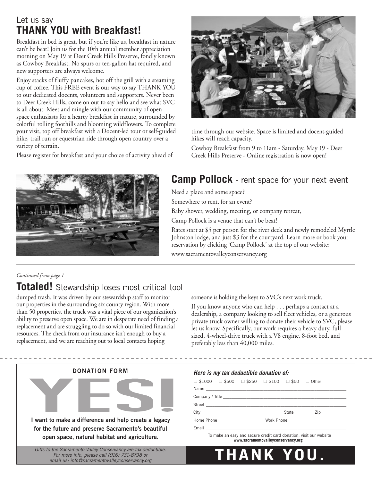## Let us say **THANK YOU with Breakfast!**

Breakfast in bed is great, but if you're like us, breakfast in nature can't be beat! Join us for the 10th annual member appreciation morning on May 19 at Deer Creek Hills Preserve, fondly known as Cowboy Breakfast. No spurs or ten-gallon hat required, and new supporters are always welcome.

Enjoy stacks of fluffy pancakes, hot off the grill with a steaming cup of coffee. This FREE event is our way to say THANK YOU to our dedicated docents, volunteers and supporters. Never been to Deer Creek Hills, come on out to say hello and see what SVC is all about. Meet and mingle with our community of open space enthusiasts for a hearty breakfast in nature, surrounded by colorful rolling foothills and blooming wildflowers. To complete your visit, top off breakfast with a Docent-led tour or self-guided hike, trail run or equestrian ride through open country over a variety of terrain.

Please register for breakfast and your choice of activity ahead of



time through our website. Space is limited and docent-guided hikes will reach capacity.

Cowboy Breakfast from 9 to 11am - Saturday, May 19 - Deer Creek Hills Preserve - Online registration is now open!



# **Camp Pollock** - rent space for your next event

Need a place and some space?

Somewhere to rent, for an event?

Baby shower, wedding, meeting, or company retreat,

Camp Pollock is a venue that can't be beat!

Rates start at \$5 per person for the river deck and newly remodeled Myrtle Johnston lodge, and just \$3 for the courtyard. Learn more or book your reservation by clicking 'Camp Pollock' at the top of our website:

www.sacramentovalleyconservancy.org

### *Continued from page 1*

# **Totaled!** Stewardship loses most critical tool

dumped trash. It was driven by our stewardship staff to monitor our properties in the surrounding six county region. With more than 50 properties, the truck was a vital piece of our organization's ability to preserve open space. We are in desperate need of finding a replacement and are struggling to do so with our limited financial resources. The check from our insurance isn't enough to buy a replacement, and we are reaching out to local contacts hoping

someone is holding the keys to SVC's next work truck.

If you know anyone who can help . . . perhaps a contact at a dealership, a company looking to sell fleet vehicles, or a generous private truck owner willing to donate their vehicle to SVC, please let us know. Specifically, our work requires a heavy duty, full sized, 4-wheel-drive truck with a V8 engine, 8-foot bed, and preferably less than 40,000 miles.

| <b>DONATION FORM</b>                                                                                                                                             | Here is my tax deductible donation of:                                                                                                                                                                                                                                                                                                          |  |  |  |
|------------------------------------------------------------------------------------------------------------------------------------------------------------------|-------------------------------------------------------------------------------------------------------------------------------------------------------------------------------------------------------------------------------------------------------------------------------------------------------------------------------------------------|--|--|--|
|                                                                                                                                                                  | $\Box$ \$1000 $\Box$ \$500 $\Box$ \$250 $\Box$ \$100 $\Box$ \$50<br>$\Box$ Other                                                                                                                                                                                                                                                                |  |  |  |
| want to make a difference and help create a legacy<br>for the future and preserve Sacramento's beautiful<br>open space, natural habitat and agriculture.         | Email <b>Example 2018 Contract Contract Contract Contract Contract Contract Contract Contract Contract Contract Contract Contract Contract Contract Contract Contract Contract Contract Contract Contract Contract Contract Co</b><br>To make an easy and secure credit card donation, visit our website<br>www.sacramentovalleyconservancy.org |  |  |  |
| Gifts to the Sacramento Valley Conservancy are tax deductible.<br>For more info, please call (916) 731-8798 or<br>email us: info@sacramentovalleyconservancy.org | THANK YOU                                                                                                                                                                                                                                                                                                                                       |  |  |  |